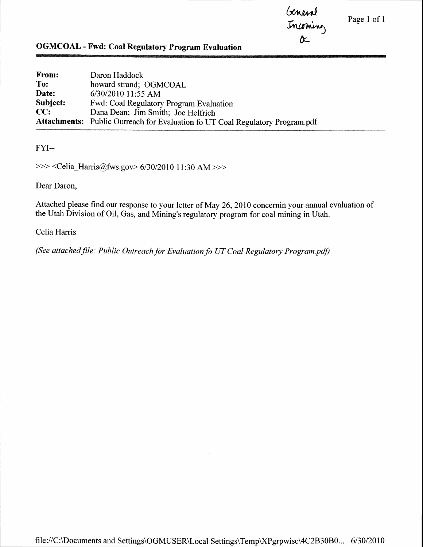Page 1 of I

Geneval Incomin d.

# OGMCOAL - Fwd: Coal Regulatory Program Evaluation

| <b>From:</b> | Daron Haddock                                                                        |
|--------------|--------------------------------------------------------------------------------------|
| To:          | howard strand; OGMCOAL                                                               |
| Date:        | 6/30/2010 11:55 AM                                                                   |
| Subject:     | Fwd: Coal Regulatory Program Evaluation                                              |
| CC:          | Dana Dean; Jim Smith; Joe Helfrich                                                   |
|              | <b>Attachments:</b> Public Outreach for Evaluation fo UT Coal Regulatory Program.pdf |

FYI--

>>> <Celia\_Harris@fws.gov> 6/30/2010 11:30 AM >>>

Dear Daron,

Attached please find our response to your letter of May 26, 2010 concernin your annual evaluation of the Utah Division of Oil, Gas, and Mining's regulatory program for coal mining in Utah.

## Celia Harris

(See attached file: Public Outreach for Evaluation fo UT Coal Regulatory Program.pdf)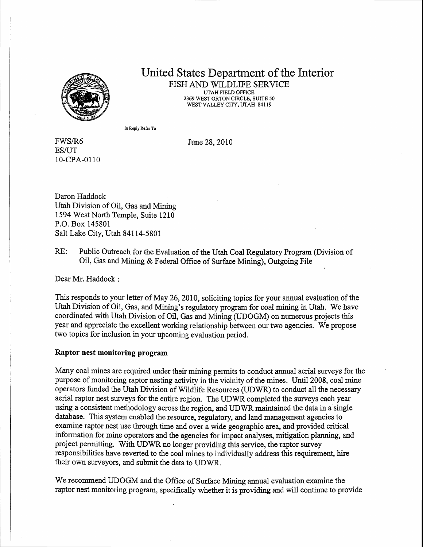

#### United States Department of the Interior FISH AND WILDLIFE SERVICE UTAH FIELD OFFICE 2369 WESTORTON CIRCLE, SUITE 50 WEST VALLEY CITY, UTAH 84119

In Reply Refer To

June 28, 2010

FWS/R6 **ES/UT** 10-cPA-0110

Daron Haddock Utah Division of Oil, Gas and Mining 1594 West North Temple, Suite 1210 P.O. Box 145801 Salt Lake City, Utah 84114-5801

RE: Public Outreach for the Evaluation of the Utah Coal Regulatory Program (Division of oil, Gas and Mining & Federal Office of Surface Mining), outgoing File

Dear Mr. Haddock :

This responds to your letter of May 26,2070, soliciting topics for your annual evaluation of the Utah Division of Oil, Gas, and Mining's regulatory program for coal mining in Utah. We have coordinated with Utah Division of Oil, Gas and Mining (UDOGM) on numerous projects this year and appreciate the excellent working relationship between our two agencies. We propose two topics for inclusion in your upcoming evaluation period.

### Raptor nest monitoring program

Many coal mines are required under their mining permits to conduct annual aerial surveys for the purpose of monitoring raptor nesting activity in the vicinity of the mines. Until 2008, coal mine operators funded the Utah Division of Wildlife Resources (UDWR) to conduct all the necessary aerial raptor nest surveys for the entire region. The UDWR completed the suryeys each year using a consistent methodology across the region, and UDWR maintained the data in a single database. This system enabled the resource, regulatory, and land management agencies to examine raptor nest use through time and over a wide geographic area, and provided critical information for mine operators and the agencies for impact analyses, mitigation planning, and project permitting. With UDWR no longer providing this service, the raptor survey responsibilities have reverted to the coal mines to individually address this requirement, hire their own surveyors, and submit the data to UDWR.

We recommend UDOGM and the Office of Surface Mining annual evaluation examine the raptor nest monitoring program, specifically whether it is providing and will continue to provide